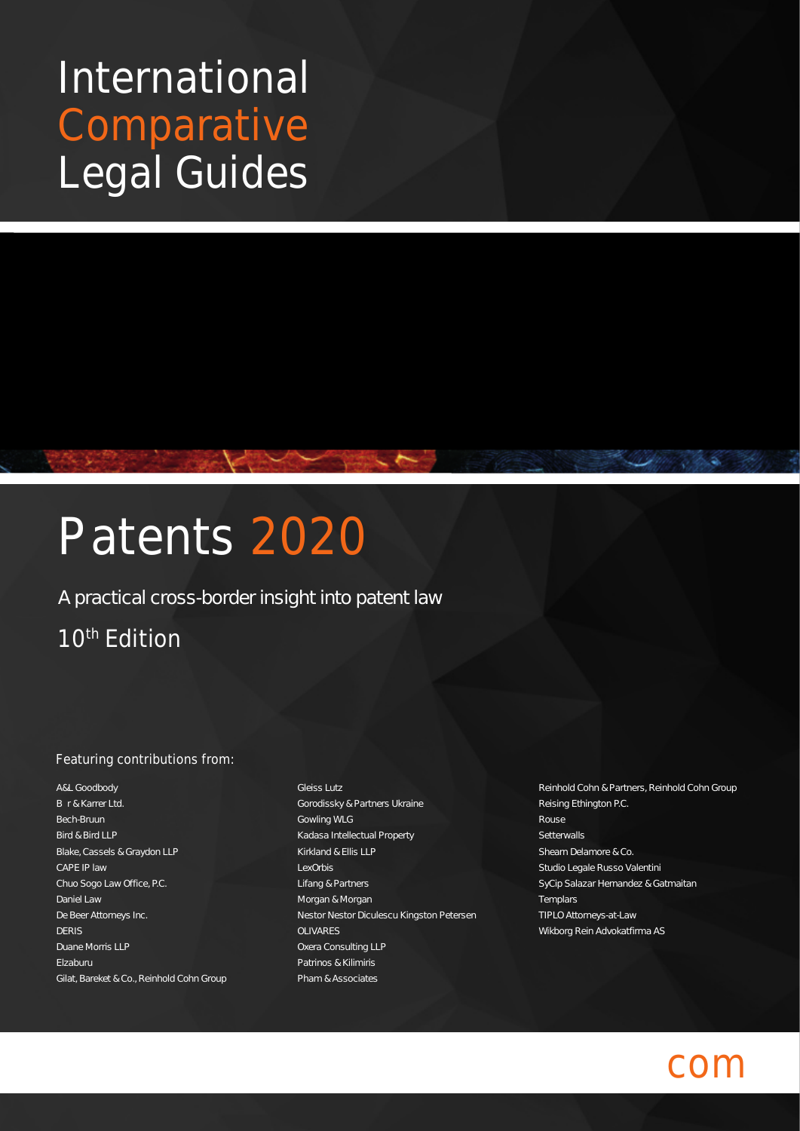## International Comparative Legal Guides

# Patents 2020

#### A practical cross-border insight into patent law

### 10<sup>th</sup> Edition

#### Featuring contributions from:

A&L Goodbody Bär & Karrer Ltd. Bech-Bruun Bird & Bird LLP Blake, Cassels & Graydon LLP CAPE IP law Chuo Sogo Law Office, P.C. Daniel Law De Beer Attorneys Inc. DERIS Duane Morris LLP Elzaburu Gilat, Bareket & Co., Reinhold Cohn Group

- Gleiss Lutz Gorodissky & Partners Ukraine Gowling WLG Kadasa Intellectual Property Kirkland & Ellis LLP LexOrbis Lifang & Partners Morgan & Morgan Nestor Nestor Diculescu Kingston Petersen OLIVARES Oxera Consulting LLP Patrinos & Kilimiris Pham & Associates
- Reinhold Cohn & Partners, Reinhold Cohn Group Reising Ethington P.C. Rouse **Setterwalls** Shearn Delamore & Co. Studio Legale Russo Valentini SyCip Salazar Hernandez & Gatmaitan **Templars** TIPLO Attorneys-at-Law Wikborg Rein Advokatfirma AS

## $C()$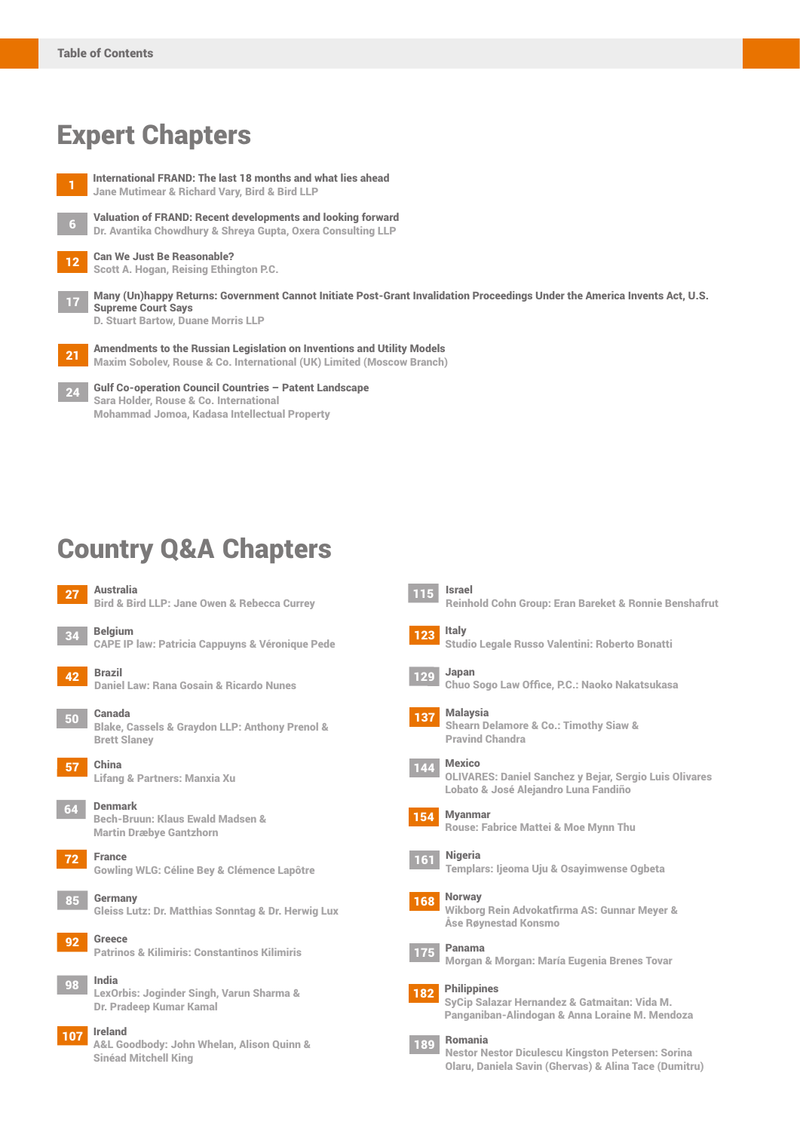## Expert Chapters

- <sup>1</sup> International FRAND: The last 18 months and what lies ahead Jane Mutimear & Richard Vary, Bird & Bird LLP Valuation of FRAND: Recent developments and looking forward Dr. Avantika Chowdhury & Shreya Gupta, Oxera Consulting LLP 12 Can We Just Be Reasonable? Scott A. Hogan, Reising Ethington P.C. <sup>17</sup> Many (Un)happy Returns: Government Cannot Initiate Post-Grant Invalidation Proceedings Under the America Invents Act, U.S. Supreme Court Says
	- D. Stuart Bartow, Duane Morris LLP
	- 21 Amendments to the Russian Legislation on Inventions and Utility Models Maxim Sobolev, Rouse & Co. International (UK) Limited (Moscow Branch)
	- Gulf Co-operation Council Countries Patent Landscape Sara Holder, Rouse & Co. International Mohammad Jomoa, Kadasa Intellectual Property

## Country Q&A Chapters



| 1 H I F | <b>Israel</b> |
|---------|---------------|
|         | Reinh         |
|         |               |

#### hold Cohn Group: Eran Bareket & Ronnie Benshafrut





Studio Legale Russo Valentini: Roberto Bonatti

129 Japan

Chuo Sogo Law Office, P.C.: Naoko Nakatsukasa

137 Malaysia Shearn Delamore & Co.: Timothy Siaw & Pravind Chandra

#### 144 Mexico

OLIVARES: Daniel Sanchez y Bejar, Sergio Luis Olivares Lobato & José Alejandro Luna Fandiño

#### 154 Myanmar



Rouse: Fabrice Mattei & Moe Mynn Thu



#### 168 Norway

Wikborg Rein Advokatfirma AS: Gunnar Meyer & Åse Røynestad Konsmo



Morgan & Morgan: María Eugenia Brenes Tovar

182 Philippines

SyCip Salazar Hernandez & Gatmaitan: Vida M. Panganiban-Alindogan & Anna Loraine M. Mendoza

#### 189 Romania

Nestor Nestor Diculescu Kingston Petersen: Sorina Olaru, Daniela Savin (Ghervas) & Alina Tace (Dumitru)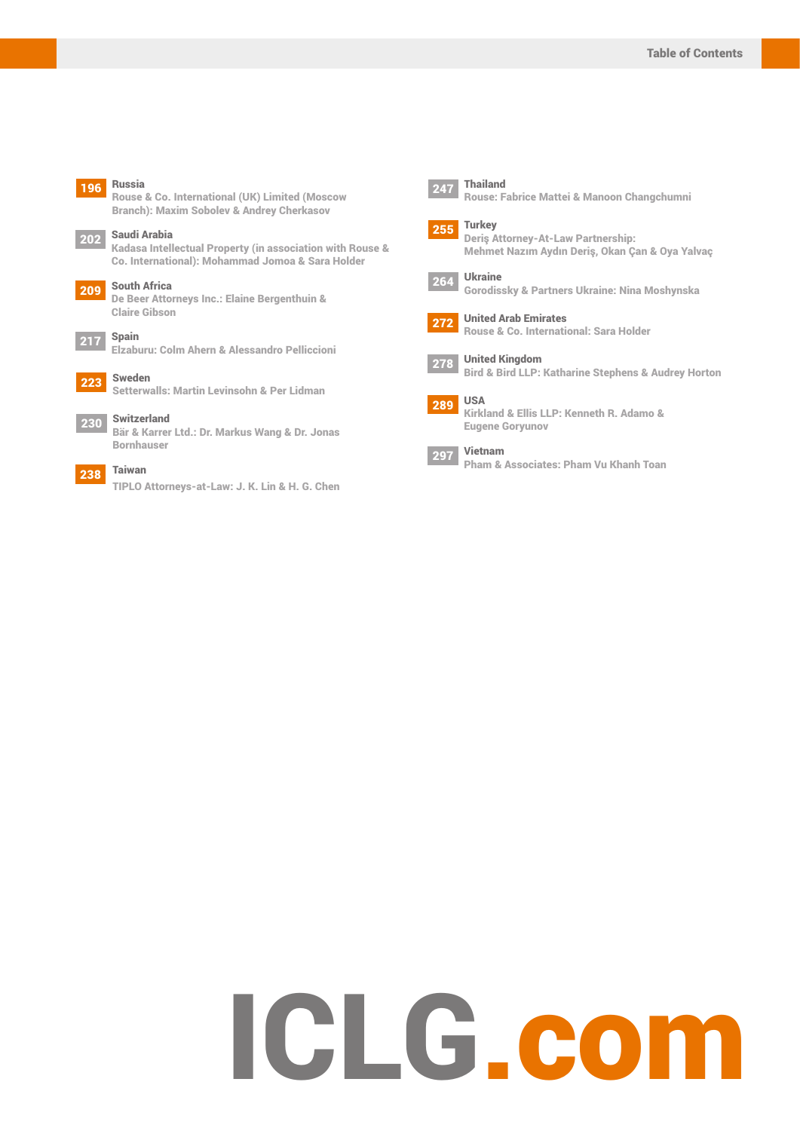#### 196 Russia

Rouse & Co. International (UK) Limited (Moscow Branch): Maxim Sobolev & Andrey Cherkasov

## 202 Saudi Arabia

Kadasa Intellectual Property (in association with Rouse & Co. International): Mohammad Jomoa & Sara Holder

#### 209 South Africa

De Beer Attorneys Inc.: Elaine Bergenthuin & Claire Gibson

#### $217$  Spain

Elzaburu: Colm Ahern & Alessandro Pelliccioni

#### 22<sub>2</sub> Sweden Setterwalls: Martin Levinsohn & Per Lidman



230 Switzerland Bär & Karrer Ltd.: Dr. Markus Wang & Dr. Jonas Bornhauser

#### 238 Taiwan

TIPLO Attorneys-at-Law: J. K. Lin & H. G. Chen



Rouse: Fabrice Mattei & Manoon Changchumni



Deriş Attorney-At-Law Partnership: Mehmet Nazım Aydın Deriş, Okan Çan & Oya Yalvaç

264 Ukraine Gorodissky & Partners Ukraine: Nina Moshynska



272 United Arab Emirates Rouse & Co. International: Sara Holder

278 United Kingdom Bird & Bird LLP: Katharine Stephens & Audrey Horton



Kirkland & Ellis LLP: Kenneth R. Adamo & Eugene Goryunov



Pham & Associates: Pham Vu Khanh Toan

# ICLG.com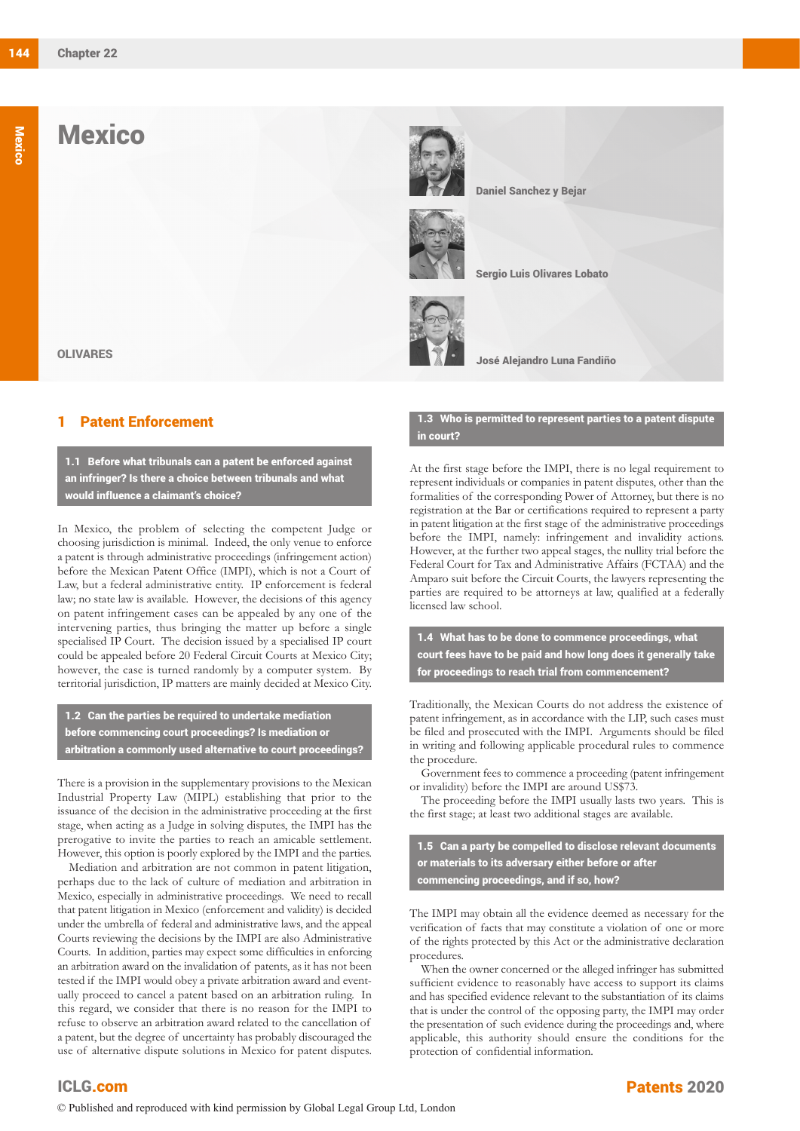## **Mexico**



Daniel Sanchez y Bejar



Sergio Luis Olivares Lobato



José Alejandro Luna Fandiño

#### 1 Patent Enforcement

OLIVARES

1.1 Before what tribunals can a patent be enforced against an infringer? Is there a choice between tribunals and what would influence a claimant's choice?

In Mexico, the problem of selecting the competent Judge or choosing jurisdiction is minimal. Indeed, the only venue to enforce a patent is through administrative proceedings (infringement action) before the Mexican Patent Office (IMPI), which is not a Court of Law, but a federal administrative entity. IP enforcement is federal law; no state law is available. However, the decisions of this agency on patent infringement cases can be appealed by any one of the intervening parties, thus bringing the matter up before a single specialised IP Court. The decision issued by a specialised IP court could be appealed before 20 Federal Circuit Courts at Mexico City; however, the case is turned randomly by a computer system. By territorial jurisdiction, IP matters are mainly decided at Mexico City.

1.2 Can the parties be required to undertake mediation before commencing court proceedings? Is mediation or arbitration a commonly used alternative to court proceedings?

There is a provision in the supplementary provisions to the Mexican Industrial Property Law (MIPL) establishing that prior to the issuance of the decision in the administrative proceeding at the first stage, when acting as a Judge in solving disputes, the IMPI has the prerogative to invite the parties to reach an amicable settlement. However, this option is poorly explored by the IMPI and the parties.

Mediation and arbitration are not common in patent litigation, perhaps due to the lack of culture of mediation and arbitration in Mexico, especially in administrative proceedings. We need to recall that patent litigation in Mexico (enforcement and validity) is decided under the umbrella of federal and administrative laws, and the appeal Courts reviewing the decisions by the IMPI are also Administrative Courts. In addition, parties may expect some difficulties in enforcing an arbitration award on the invalidation of patents, as it has not been tested if the IMPI would obey a private arbitration award and eventually proceed to cancel a patent based on an arbitration ruling. In this regard, we consider that there is no reason for the IMPI to refuse to observe an arbitration award related to the cancellation of a patent, but the degree of uncertainty has probably discouraged the use of alternative dispute solutions in Mexico for patent disputes.

#### 1.3 Who is permitted to represent parties to a patent dispute in court?

At the first stage before the IMPI, there is no legal requirement to represent individuals or companies in patent disputes, other than the formalities of the corresponding Power of Attorney, but there is no registration at the Bar or certifications required to represent a party in patent litigation at the first stage of the administrative proceedings before the IMPI, namely: infringement and invalidity actions. However, at the further two appeal stages, the nullity trial before the Federal Court for Tax and Administrative Affairs (FCTAA) and the Amparo suit before the Circuit Courts, the lawyers representing the parties are required to be attorneys at law, qualified at a federally licensed law school.

1.4 What has to be done to commence proceedings, what court fees have to be paid and how long does it generally take for proceedings to reach trial from commencement?

Traditionally, the Mexican Courts do not address the existence of patent infringement, as in accordance with the LIP, such cases must be filed and prosecuted with the IMPI. Arguments should be filed in writing and following applicable procedural rules to commence the procedure.

Government fees to commence a proceeding (patent infringement or invalidity) before the IMPI are around US\$73.

The proceeding before the IMPI usually lasts two years. This is the first stage; at least two additional stages are available.

1.5 Can a party be compelled to disclose relevant documents or materials to its adversary either before or after commencing proceedings, and if so, how?

The IMPI may obtain all the evidence deemed as necessary for the verification of facts that may constitute a violation of one or more of the rights protected by this Act or the administrative declaration procedures.

When the owner concerned or the alleged infringer has submitted sufficient evidence to reasonably have access to support its claims and has specified evidence relevant to the substantiation of its claims that is under the control of the opposing party, the IMPI may order the presentation of such evidence during the proceedings and, where applicable, this authority should ensure the conditions for the protection of confidential information.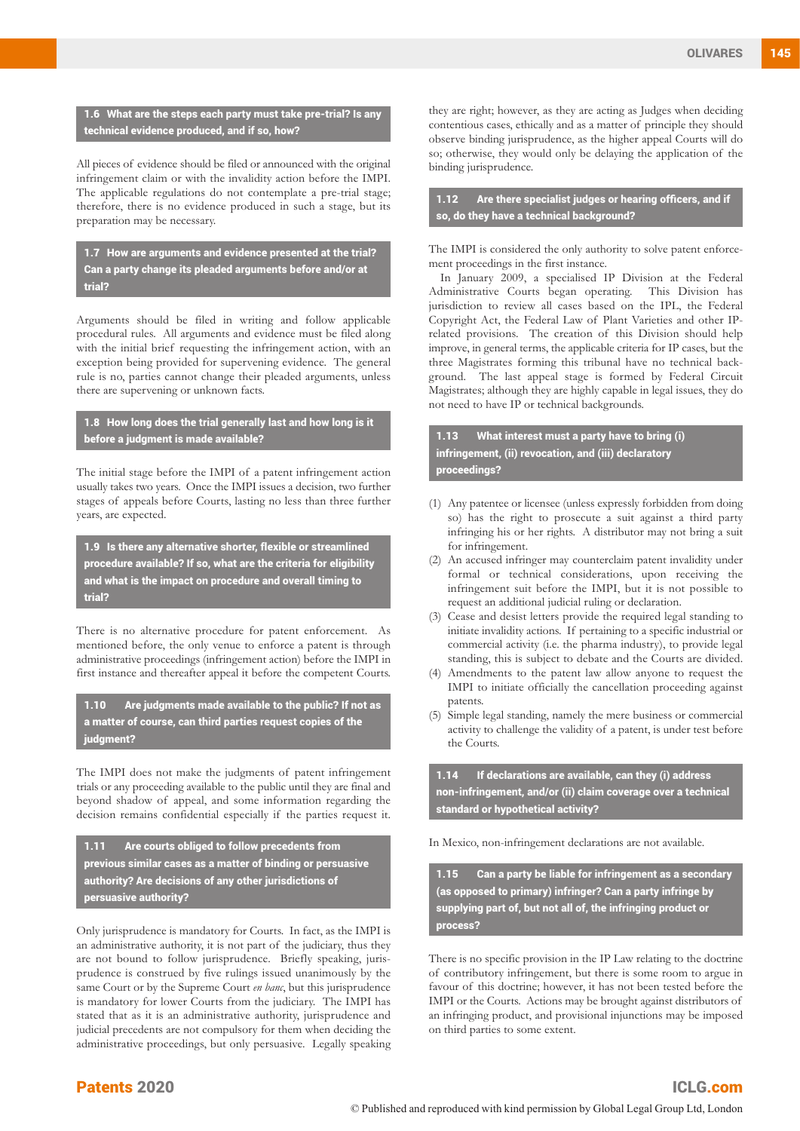1.6 What are the steps each party must take pre-trial? Is any technical evidence produced, and if so, how?

All pieces of evidence should be filed or announced with the original infringement claim or with the invalidity action before the IMPI. The applicable regulations do not contemplate a pre-trial stage; therefore, there is no evidence produced in such a stage, but its preparation may be necessary.

1.7 How are arguments and evidence presented at the trial? Can a party change its pleaded arguments before and/or at trial?

Arguments should be filed in writing and follow applicable procedural rules. All arguments and evidence must be filed along with the initial brief requesting the infringement action, with an exception being provided for supervening evidence. The general rule is no, parties cannot change their pleaded arguments, unless there are supervening or unknown facts.

1.8 How long does the trial generally last and how long is it before a judgment is made available?

The initial stage before the IMPI of a patent infringement action usually takes two years. Once the IMPI issues a decision, two further stages of appeals before Courts, lasting no less than three further years, are expected.

1.9 Is there any alternative shorter, flexible or streamlined procedure available? If so, what are the criteria for eligibility and what is the impact on procedure and overall timing to trial?

There is no alternative procedure for patent enforcement. As mentioned before, the only venue to enforce a patent is through administrative proceedings (infringement action) before the IMPI in first instance and thereafter appeal it before the competent Courts.

1.10 Are judgments made available to the public? If not as a matter of course, can third parties request copies of the judgment?

The IMPI does not make the judgments of patent infringement trials or any proceeding available to the public until they are final and beyond shadow of appeal, and some information regarding the decision remains confidential especially if the parties request it.

1.11 Are courts obliged to follow precedents from previous similar cases as a matter of binding or persuasive authority? Are decisions of any other jurisdictions of persuasive authority?

Only jurisprudence is mandatory for Courts. In fact, as the IMPI is an administrative authority, it is not part of the judiciary, thus they are not bound to follow jurisprudence. Briefly speaking, jurisprudence is construed by five rulings issued unanimously by the same Court or by the Supreme Court *en banc*, but this jurisprudence is mandatory for lower Courts from the judiciary. The IMPI has stated that as it is an administrative authority, jurisprudence and judicial precedents are not compulsory for them when deciding the administrative proceedings, but only persuasive. Legally speaking they are right; however, as they are acting as Judges when deciding contentious cases, ethically and as a matter of principle they should observe binding jurisprudence, as the higher appeal Courts will do so; otherwise, they would only be delaying the application of the binding jurisprudence.

1.12 Are there specialist judges or hearing officers, and if so, do they have a technical background?

The IMPI is considered the only authority to solve patent enforcement proceedings in the first instance.

In January 2009, a specialised IP Division at the Federal Administrative Courts began operating. This Division has jurisdiction to review all cases based on the IPL, the Federal Copyright Act, the Federal Law of Plant Varieties and other IPrelated provisions. The creation of this Division should help improve, in general terms, the applicable criteria for IP cases, but the three Magistrates forming this tribunal have no technical background. The last appeal stage is formed by Federal Circuit Magistrates; although they are highly capable in legal issues, they do not need to have IP or technical backgrounds.

1.13 What interest must a party have to bring (i) infringement, (ii) revocation, and (iii) declaratory proceedings?

- (1) Any patentee or licensee (unless expressly forbidden from doing so) has the right to prosecute a suit against a third party infringing his or her rights. A distributor may not bring a suit for infringement.
- (2) An accused infringer may counterclaim patent invalidity under formal or technical considerations, upon receiving the infringement suit before the IMPI, but it is not possible to request an additional judicial ruling or declaration.
- (3) Cease and desist letters provide the required legal standing to initiate invalidity actions. If pertaining to a specific industrial or commercial activity (i.e. the pharma industry), to provide legal standing, this is subject to debate and the Courts are divided.
- (4) Amendments to the patent law allow anyone to request the IMPI to initiate officially the cancellation proceeding against patents.
- (5) Simple legal standing, namely the mere business or commercial activity to challenge the validity of a patent, is under test before the Courts.

1.14 If declarations are available, can they (i) address non-infringement, and/or (ii) claim coverage over a technical standard or hypothetical activity?

In Mexico, non-infringement declarations are not available.

1.15 Can a party be liable for infringement as a secondary (as opposed to primary) infringer? Can a party infringe by supplying part of, but not all of, the infringing product or process?

There is no specific provision in the IP Law relating to the doctrine of contributory infringement, but there is some room to argue in favour of this doctrine; however, it has not been tested before the IMPI or the Courts. Actions may be brought against distributors of an infringing product, and provisional injunctions may be imposed on third parties to some extent.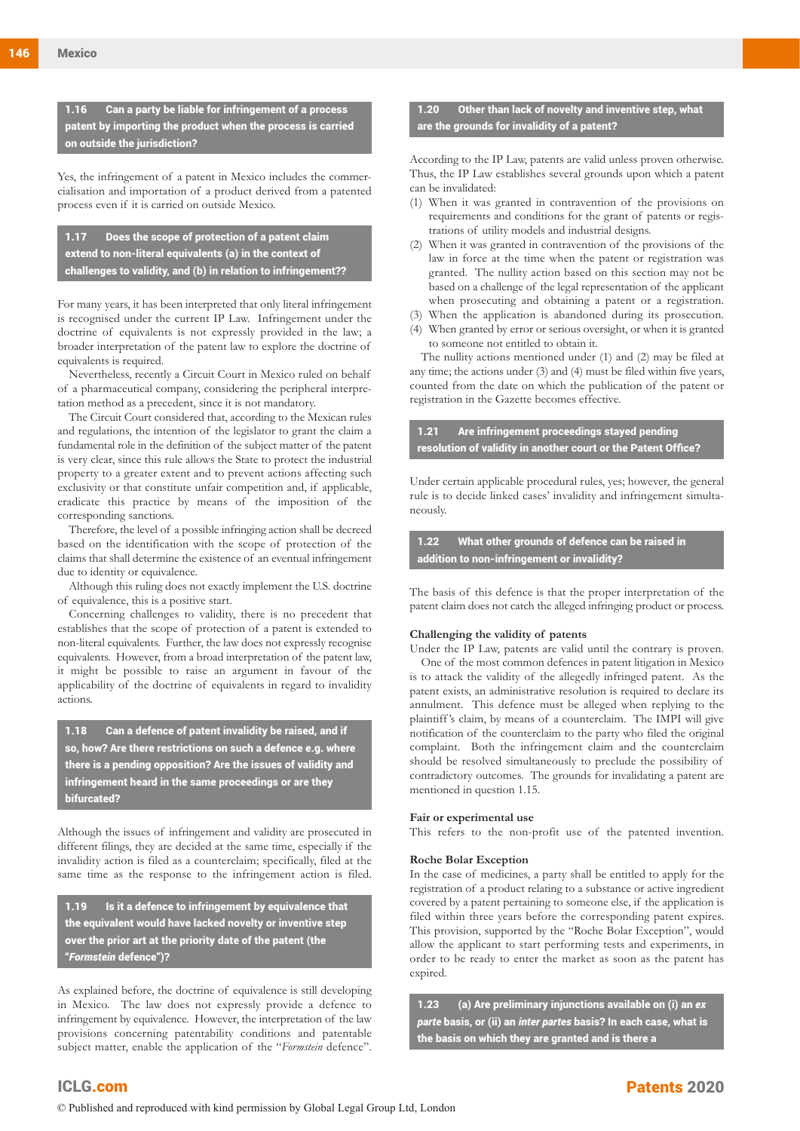1.16 Can a party be liable for infringement of a process patent by importing the product when the process is carried on outside the jurisdiction?

Yes, the infringement of a patent in Mexico includes the commercialisation and importation of a product derived from a patented process even if it is carried on outside Mexico.

1.17 Does the scope of protection of a patent claim extend to non-literal equivalents (a) in the context of challenges to validity, and (b) in relation to infringement??

For many years, it has been interpreted that only literal infringement is recognised under the current IP Law. Infringement under the doctrine of equivalents is not expressly provided in the law; a broader interpretation of the patent law to explore the doctrine of equivalents is required.

Nevertheless, recently a Circuit Court in Mexico ruled on behalf of a pharmaceutical company, considering the peripheral interpretation method as a precedent, since it is not mandatory.

The Circuit Court considered that, according to the Mexican rules and regulations, the intention of the legislator to grant the claim a fundamental role in the definition of the subject matter of the patent is very clear, since this rule allows the State to protect the industrial property to a greater extent and to prevent actions affecting such exclusivity or that constitute unfair competition and, if applicable, eradicate this practice by means of the imposition of the corresponding sanctions.

Therefore, the level of a possible infringing action shall be decreed based on the identification with the scope of protection of the claims that shall determine the existence of an eventual infringement due to identity or equivalence.

Although this ruling does not exactly implement the U.S. doctrine of equivalence, this is a positive start.

Concerning challenges to validity, there is no precedent that establishes that the scope of protection of a patent is extended to non-literal equivalents. Further, the law does not expressly recognise equivalents. However, from a broad interpretation of the patent law, it might be possible to raise an argument in favour of the applicability of the doctrine of equivalents in regard to invalidity actions.

1.18 Can a defence of patent invalidity be raised, and if so, how? Are there restrictions on such a defence e.g. where there is a pending opposition? Are the issues of validity and infringement heard in the same proceedings or are they bifurcated?

Although the issues of infringement and validity are prosecuted in different filings, they are decided at the same time, especially if the invalidity action is filed as a counterclaim; specifically, filed at the same time as the response to the infringement action is filed.

1.19 Is it a defence to infringement by equivalence that the equivalent would have lacked novelty or inventive step over the prior art at the priority date of the patent (the "*Formstein* defence")?

As explained before, the doctrine of equivalence is still developing in Mexico. The law does not expressly provide a defence to infringement by equivalence. However, the interpretation of the law provisions concerning patentability conditions and patentable subject matter, enable the application of the "*Formstein* defence".

ICLG.com

#### Other than lack of novelty and inventive step, what are the grounds for invalidity of a patent?

According to the IP Law, patents are valid unless proven otherwise. Thus, the IP Law establishes several grounds upon which a patent can be invalidated:

- (1) When it was granted in contravention of the provisions on requirements and conditions for the grant of patents or registrations of utility models and industrial designs.
- (2) When it was granted in contravention of the provisions of the law in force at the time when the patent or registration was granted. The nullity action based on this section may not be based on a challenge of the legal representation of the applicant when prosecuting and obtaining a patent or a registration.
- (3) When the application is abandoned during its prosecution.
- (4) When granted by error or serious oversight, or when it is granted to someone not entitled to obtain it.

The nullity actions mentioned under (1) and (2) may be filed at any time; the actions under (3) and (4) must be filed within five years, counted from the date on which the publication of the patent or registration in the Gazette becomes effective.

1.21 Are infringement proceedings stayed pending resolution of validity in another court or the Patent Office?

Under certain applicable procedural rules, yes; however, the general rule is to decide linked cases' invalidity and infringement simultaneously.

1.22 What other grounds of defence can be raised in addition to non-infringement or invalidity?

The basis of this defence is that the proper interpretation of the patent claim does not catch the alleged infringing product or process.

#### **Challenging the validity of patents**

Under the IP Law, patents are valid until the contrary is proven.

One of the most common defences in patent litigation in Mexico is to attack the validity of the allegedly infringed patent. As the patent exists, an administrative resolution is required to declare its annulment. This defence must be alleged when replying to the plaintiff 's claim, by means of a counterclaim. The IMPI will give notification of the counterclaim to the party who filed the original complaint. Both the infringement claim and the counterclaim should be resolved simultaneously to preclude the possibility of contradictory outcomes. The grounds for invalidating a patent are mentioned in question 1.15.

#### **Fair or experimental use**

This refers to the non-profit use of the patented invention.

#### **Roche Bolar Exception**

In the case of medicines, a party shall be entitled to apply for the registration of a product relating to a substance or active ingredient covered by a patent pertaining to someone else, if the application is filed within three years before the corresponding patent expires. This provision, supported by the "Roche Bolar Exception", would allow the applicant to start performing tests and experiments, in order to be ready to enter the market as soon as the patent has expired.

1.23 (a) Are preliminary injunctions available on (i) an *ex parte* basis, or (ii) an *inter partes* basis? In each case, what is the basis on which they are granted and is there a

© Published and reproduced with kind permission by Global Legal Group Ltd, London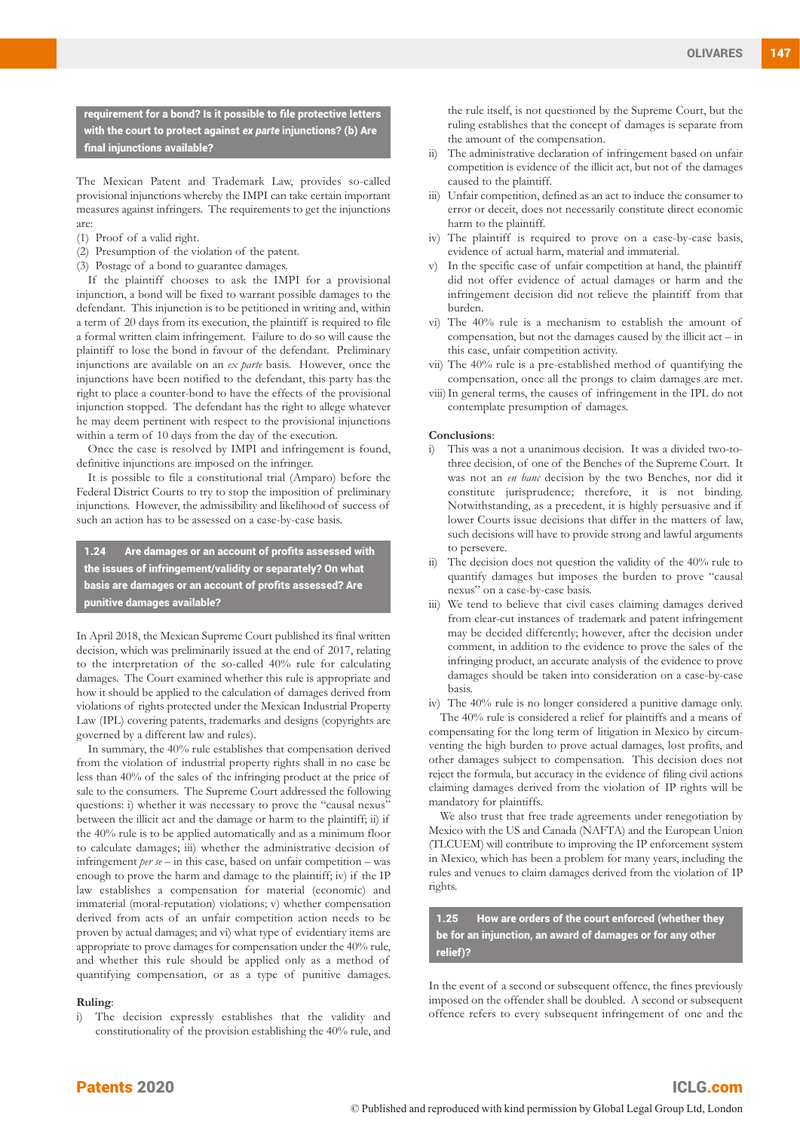requirement for a bond? Is it possible to file protective letters with the court to protect against *ex parte* injunctions? (b) Are final injunctions available?

The Mexican Patent and Trademark Law, provides so-called provisional injunctions whereby the IMPI can take certain important measures against infringers. The requirements to get the injunctions are:

- (1) Proof of a valid right.
- (2) Presumption of the violation of the patent.
- (3) Postage of a bond to guarantee damages.

If the plaintiff chooses to ask the IMPI for a provisional injunction, a bond will be fixed to warrant possible damages to the defendant. This injunction is to be petitioned in writing and, within a term of 20 days from its execution, the plaintiff is required to file a formal written claim infringement. Failure to do so will cause the plaintiff to lose the bond in favour of the defendant. Preliminary injunctions are available on an *ex parte* basis. However, once the injunctions have been notified to the defendant, this party has the right to place a counter-bond to have the effects of the provisional injunction stopped. The defendant has the right to allege whatever he may deem pertinent with respect to the provisional injunctions within a term of 10 days from the day of the execution.

Once the case is resolved by IMPI and infringement is found, definitive injunctions are imposed on the infringer.

It is possible to file a constitutional trial (Amparo) before the Federal District Courts to try to stop the imposition of preliminary injunctions. However, the admissibility and likelihood of success of such an action has to be assessed on a case-by-case basis.

1.24 Are damages or an account of profits assessed with the issues of infringement/validity or separately? On what basis are damages or an account of profits assessed? Are punitive damages available?

In April 2018, the Mexican Supreme Court published its final written decision, which was preliminarily issued at the end of 2017, relating to the interpretation of the so-called 40% rule for calculating damages. The Court examined whether this rule is appropriate and how it should be applied to the calculation of damages derived from violations of rights protected under the Mexican Industrial Property Law (IPL) covering patents, trademarks and designs (copyrights are governed by a different law and rules).

In summary, the 40% rule establishes that compensation derived from the violation of industrial property rights shall in no case be less than 40% of the sales of the infringing product at the price of sale to the consumers. The Supreme Court addressed the following questions: i) whether it was necessary to prove the "causal nexus" between the illicit act and the damage or harm to the plaintiff; ii) if the 40% rule is to be applied automatically and as a minimum floor to calculate damages; iii) whether the administrative decision of infringement *per se* – in this case, based on unfair competition – was enough to prove the harm and damage to the plaintiff; iv) if the IP law establishes a compensation for material (economic) and immaterial (moral-reputation) violations; v) whether compensation derived from acts of an unfair competition action needs to be proven by actual damages; and vi) what type of evidentiary items are appropriate to prove damages for compensation under the 40% rule, and whether this rule should be applied only as a method of quantifying compensation, or as a type of punitive damages.

#### **Ruling**:

i) The decision expressly establishes that the validity and constitutionality of the provision establishing the 40% rule, and the rule itself, is not questioned by the Supreme Court, but the ruling establishes that the concept of damages is separate from the amount of the compensation.

- ii) The administrative declaration of infringement based on unfair competition is evidence of the illicit act, but not of the damages caused to the plaintiff.
- iii) Unfair competition, defined as an act to induce the consumer to error or deceit, does not necessarily constitute direct economic harm to the plaintiff.
- iv) The plaintiff is required to prove on a case-by-case basis, evidence of actual harm, material and immaterial.
- v) In the specific case of unfair competition at hand, the plaintiff did not offer evidence of actual damages or harm and the infringement decision did not relieve the plaintiff from that burden.
- vi) The 40% rule is a mechanism to establish the amount of compensation, but not the damages caused by the illicit act – in this case, unfair competition activity.
- vii) The 40% rule is a pre-established method of quantifying the compensation, once all the prongs to claim damages are met.
- viii)In general terms, the causes of infringement in the IPL do not contemplate presumption of damages.

#### **Conclusions**:

- i) This was a not a unanimous decision. It was a divided two-tothree decision, of one of the Benches of the Supreme Court. It was not an *en banc* decision by the two Benches, nor did it constitute jurisprudence; therefore, it is not binding. Notwithstanding, as a precedent, it is highly persuasive and if lower Courts issue decisions that differ in the matters of law, such decisions will have to provide strong and lawful arguments to persevere.
- ii) The decision does not question the validity of the 40% rule to quantify damages but imposes the burden to prove "causal nexus" on a case-by-case basis.
- iii) We tend to believe that civil cases claiming damages derived from clear-cut instances of trademark and patent infringement may be decided differently; however, after the decision under comment, in addition to the evidence to prove the sales of the infringing product, an accurate analysis of the evidence to prove damages should be taken into consideration on a case-by-case basis.

iv) The 40% rule is no longer considered a punitive damage only. The 40% rule is considered a relief for plaintiffs and a means of compensating for the long term of litigation in Mexico by circumventing the high burden to prove actual damages, lost profits, and other damages subject to compensation. This decision does not reject the formula, but accuracy in the evidence of filing civil actions claiming damages derived from the violation of IP rights will be mandatory for plaintiffs.

We also trust that free trade agreements under renegotiation by Mexico with the US and Canada (NAFTA) and the European Union (TLCUEM) will contribute to improving the IP enforcement system in Mexico, which has been a problem for many years, including the rules and venues to claim damages derived from the violation of IP rights.

1.25 How are orders of the court enforced (whether they be for an injunction, an award of damages or for any other relief)?

In the event of a second or subsequent offence, the fines previously imposed on the offender shall be doubled. A second or subsequent offence refers to every subsequent infringement of one and the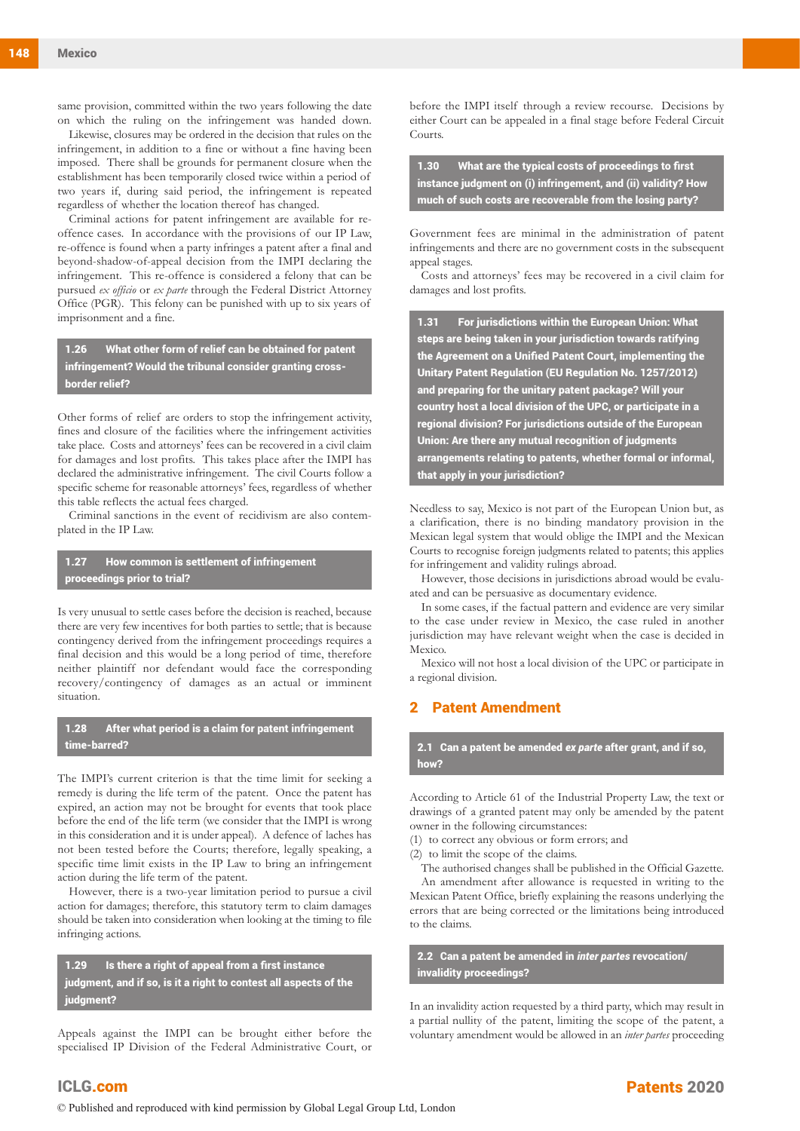same provision, committed within the two years following the date on which the ruling on the infringement was handed down.

Likewise, closures may be ordered in the decision that rules on the infringement, in addition to a fine or without a fine having been imposed. There shall be grounds for permanent closure when the establishment has been temporarily closed twice within a period of two years if, during said period, the infringement is repeated regardless of whether the location thereof has changed.

Criminal actions for patent infringement are available for reoffence cases. In accordance with the provisions of our IP Law, re-offence is found when a party infringes a patent after a final and beyond-shadow-of-appeal decision from the IMPI declaring the infringement. This re-offence is considered a felony that can be pursued *ex officio* or *ex parte* through the Federal District Attorney Office (PGR). This felony can be punished with up to six years of imprisonment and a fine.

1.26 What other form of relief can be obtained for patent infringement? Would the tribunal consider granting crossborder relief?

Other forms of relief are orders to stop the infringement activity, fines and closure of the facilities where the infringement activities take place. Costs and attorneys' fees can be recovered in a civil claim for damages and lost profits. This takes place after the IMPI has declared the administrative infringement. The civil Courts follow a specific scheme for reasonable attorneys' fees, regardless of whether this table reflects the actual fees charged.

Criminal sanctions in the event of recidivism are also contemplated in the IP Law.

1.27 How common is settlement of infringement proceedings prior to trial?

Is very unusual to settle cases before the decision is reached, because there are very few incentives for both parties to settle; that is because contingency derived from the infringement proceedings requires a final decision and this would be a long period of time, therefore neither plaintiff nor defendant would face the corresponding recovery/contingency of damages as an actual or imminent situation.

1.28 After what period is a claim for patent infringement time-barred?

The IMPI's current criterion is that the time limit for seeking a remedy is during the life term of the patent. Once the patent has expired, an action may not be brought for events that took place before the end of the life term (we consider that the IMPI is wrong in this consideration and it is under appeal). A defence of laches has not been tested before the Courts; therefore, legally speaking, a specific time limit exists in the IP Law to bring an infringement action during the life term of the patent.

However, there is a two-year limitation period to pursue a civil action for damages; therefore, this statutory term to claim damages should be taken into consideration when looking at the timing to file infringing actions.

1.29 Is there a right of appeal from a first instance judgment, and if so, is it a right to contest all aspects of the judgment?

Appeals against the IMPI can be brought either before the specialised IP Division of the Federal Administrative Court, or before the IMPI itself through a review recourse. Decisions by either Court can be appealed in a final stage before Federal Circuit Courts.

1.30 What are the typical costs of proceedings to first instance judgment on (i) infringement, and (ii) validity? How much of such costs are recoverable from the losing party?

Government fees are minimal in the administration of patent infringements and there are no government costs in the subsequent appeal stages.

Costs and attorneys' fees may be recovered in a civil claim for damages and lost profits.

1.31 For jurisdictions within the European Union: What steps are being taken in your jurisdiction towards ratifying the Agreement on a Unified Patent Court, implementing the Unitary Patent Regulation (EU Regulation No. 1257/2012) and preparing for the unitary patent package? Will your country host a local division of the UPC, or participate in a regional division? For jurisdictions outside of the European Union: Are there any mutual recognition of judgments arrangements relating to patents, whether formal or informal, that apply in your jurisdiction?

Needless to say, Mexico is not part of the European Union but, as a clarification, there is no binding mandatory provision in the Mexican legal system that would oblige the IMPI and the Mexican Courts to recognise foreign judgments related to patents; this applies for infringement and validity rulings abroad.

However, those decisions in jurisdictions abroad would be evaluated and can be persuasive as documentary evidence.

In some cases, if the factual pattern and evidence are very similar to the case under review in Mexico, the case ruled in another jurisdiction may have relevant weight when the case is decided in **Mexico** 

Mexico will not host a local division of the UPC or participate in a regional division.

#### **Patent Amendment**

2.1 Can a patent be amended *ex parte* after grant, and if so, how?

According to Article 61 of the Industrial Property Law, the text or drawings of a granted patent may only be amended by the patent owner in the following circumstances:

(1) to correct any obvious or form errors; and

(2) to limit the scope of the claims.

The authorised changes shall be published in the Official Gazette. An amendment after allowance is requested in writing to the Mexican Patent Office, briefly explaining the reasons underlying the errors that are being corrected or the limitations being introduced to the claims.

2.2 Can a patent be amended in *inter partes* revocation/ invalidity proceedings?

In an invalidity action requested by a third party, which may result in a partial nullity of the patent, limiting the scope of the patent, a voluntary amendment would be allowed in an *inter partes* proceeding

ICLG.com © Published and reproduced with kind permission by Global Legal Group Ltd, London

<sup>148</sup> Mexico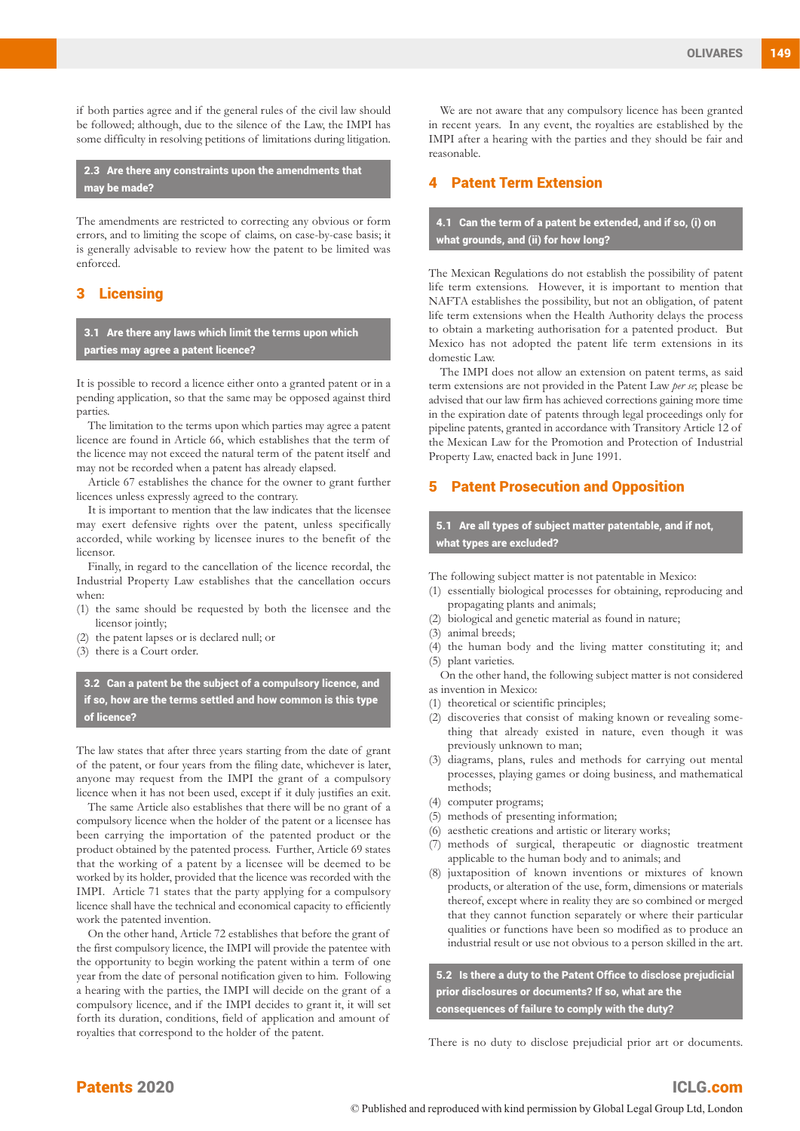if both parties agree and if the general rules of the civil law should be followed; although, due to the silence of the Law, the IMPI has some difficulty in resolving petitions of limitations during litigation.

2.3 Are there any constraints upon the amendments that may be made?

The amendments are restricted to correcting any obvious or form errors, and to limiting the scope of claims, on case-by-case basis; it is generally advisable to review how the patent to be limited was enforced.

#### 3 Licensing

3.1 Are there any laws which limit the terms upon which parties may agree a patent licence?

It is possible to record a licence either onto a granted patent or in a pending application, so that the same may be opposed against third parties.

The limitation to the terms upon which parties may agree a patent licence are found in Article 66, which establishes that the term of the licence may not exceed the natural term of the patent itself and may not be recorded when a patent has already elapsed.

Article 67 establishes the chance for the owner to grant further licences unless expressly agreed to the contrary.

It is important to mention that the law indicates that the licensee may exert defensive rights over the patent, unless specifically accorded, while working by licensee inures to the benefit of the licensor.

Finally, in regard to the cancellation of the licence recordal, the Industrial Property Law establishes that the cancellation occurs when:

(1) the same should be requested by both the licensee and the licensor jointly:

- (2) the patent lapses or is declared null; or
- (3) there is a Court order.

3.2 Can a patent be the subject of a compulsory licence, and if so, how are the terms settled and how common is this type of licence?

The law states that after three years starting from the date of grant of the patent, or four years from the filing date, whichever is later, anyone may request from the IMPI the grant of a compulsory licence when it has not been used, except if it duly justifies an exit.

The same Article also establishes that there will be no grant of a compulsory licence when the holder of the patent or a licensee has been carrying the importation of the patented product or the product obtained by the patented process. Further, Article 69 states that the working of a patent by a licensee will be deemed to be worked by its holder, provided that the licence was recorded with the IMPI. Article 71 states that the party applying for a compulsory licence shall have the technical and economical capacity to efficiently work the patented invention.

On the other hand, Article 72 establishes that before the grant of the first compulsory licence, the IMPI will provide the patentee with the opportunity to begin working the patent within a term of one year from the date of personal notification given to him. Following a hearing with the parties, the IMPI will decide on the grant of a compulsory licence, and if the IMPI decides to grant it, it will set forth its duration, conditions, field of application and amount of royalties that correspond to the holder of the patent.

We are not aware that any compulsory licence has been granted in recent years. In any event, the royalties are established by the IMPI after a hearing with the parties and they should be fair and reasonable.

#### **Patent Term Extension**

4.1 Can the term of a patent be extended, and if so, (i) on what grounds, and (ii) for how long?

The Mexican Regulations do not establish the possibility of patent life term extensions. However, it is important to mention that NAFTA establishes the possibility, but not an obligation, of patent life term extensions when the Health Authority delays the process to obtain a marketing authorisation for a patented product. But Mexico has not adopted the patent life term extensions in its domestic Law.

The IMPI does not allow an extension on patent terms, as said term extensions are not provided in the Patent Law *per se*; please be advised that our law firm has achieved corrections gaining more time in the expiration date of patents through legal proceedings only for pipeline patents, granted in accordance with Transitory Article 12 of the Mexican Law for the Promotion and Protection of Industrial Property Law, enacted back in June 1991.

#### **Patent Prosecution and Opposition**

5.1 Are all types of subject matter patentable, and if not, what types are excluded?

The following subject matter is not patentable in Mexico:

- (1) essentially biological processes for obtaining, reproducing and propagating plants and animals;
- (2) biological and genetic material as found in nature;
- (3) animal breeds;
- (4) the human body and the living matter constituting it; and (5) plant varieties.
- On the other hand, the following subject matter is not considered as invention in Mexico:
- (1) theoretical or scientific principles;
- (2) discoveries that consist of making known or revealing something that already existed in nature, even though it was previously unknown to man;
- (3) diagrams, plans, rules and methods for carrying out mental processes, playing games or doing business, and mathematical methods;
- (4) computer programs;
- (5) methods of presenting information;
- (6) aesthetic creations and artistic or literary works;
- (7) methods of surgical, therapeutic or diagnostic treatment applicable to the human body and to animals; and
- (8) juxtaposition of known inventions or mixtures of known products, or alteration of the use, form, dimensions or materials thereof, except where in reality they are so combined or merged that they cannot function separately or where their particular qualities or functions have been so modified as to produce an industrial result or use not obvious to a person skilled in the art.

5.2 Is there a duty to the Patent Office to disclose prejudicial prior disclosures or documents? If so, what are the consequences of failure to comply with the duty?

There is no duty to disclose prejudicial prior art or documents.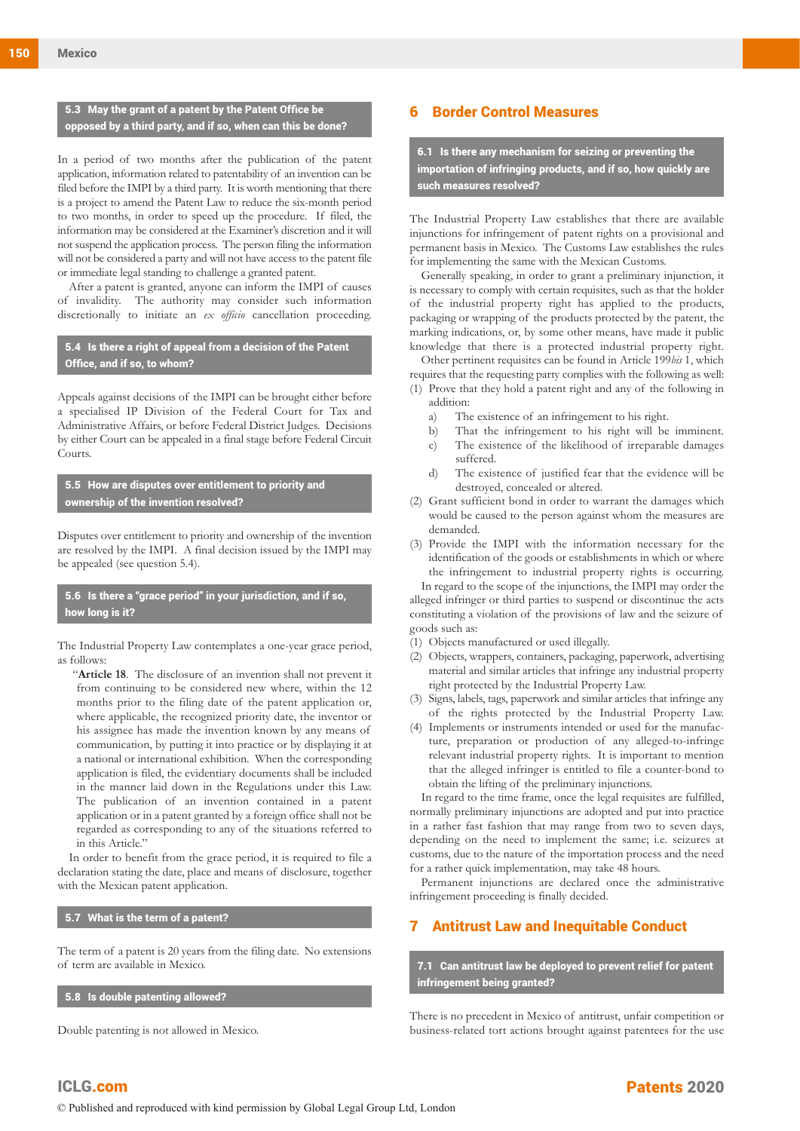#### 5.3 May the grant of a patent by the Patent Office be opposed by a third party, and if so, when can this be done?

In a period of two months after the publication of the patent application, information related to patentability of an invention can be filed before the IMPI by a third party. It is worth mentioning that there is a project to amend the Patent Law to reduce the six-month period to two months, in order to speed up the procedure. If filed, the information may be considered at the Examiner's discretion and it will not suspend the application process. The person filing the information will not be considered a party and will not have access to the patent file or immediate legal standing to challenge a granted patent.

After a patent is granted, anyone can inform the IMPI of causes of invalidity. The authority may consider such information discretionally to initiate an *ex officio* cancellation proceeding.

#### 5.4 Is there a right of appeal from a decision of the Patent Office, and if so, to whom?

Appeals against decisions of the IMPI can be brought either before a specialised IP Division of the Federal Court for Tax and Administrative Affairs, or before Federal District Judges. Decisions by either Court can be appealed in a final stage before Federal Circuit Courts.

5.5 How are disputes over entitlement to priority and ownership of the invention resolved?

Disputes over entitlement to priority and ownership of the invention are resolved by the IMPI. A final decision issued by the IMPI may be appealed (see question 5.4).

#### 5.6 Is there a "grace period" in your jurisdiction, and if so, how long is it?

The Industrial Property Law contemplates a one-year grace period, as follows:

"**Article 18**. The disclosure of an invention shall not prevent it from continuing to be considered new where, within the 12 months prior to the filing date of the patent application or, where applicable, the recognized priority date, the inventor or his assignee has made the invention known by any means of communication, by putting it into practice or by displaying it at a national or international exhibition. When the corresponding application is filed, the evidentiary documents shall be included in the manner laid down in the Regulations under this Law. The publication of an invention contained in a patent application or in a patent granted by a foreign office shall not be regarded as corresponding to any of the situations referred to in this Article."

In order to benefit from the grace period, it is required to file a declaration stating the date, place and means of disclosure, together with the Mexican patent application.

#### 5.7 What is the term of a patent?

The term of a patent is 20 years from the filing date. No extensions of term are available in Mexico.

#### 5.8 Is double patenting allowed?

Double patenting is not allowed in Mexico.

#### 6 Border Control Measures

6.1 Is there any mechanism for seizing or preventing the importation of infringing products, and if so, how quickly are such measures resolved?

The Industrial Property Law establishes that there are available injunctions for infringement of patent rights on a provisional and permanent basis in Mexico. The Customs Law establishes the rules for implementing the same with the Mexican Customs.

Generally speaking, in order to grant a preliminary injunction, it is necessary to comply with certain requisites, such as that the holder of the industrial property right has applied to the products, packaging or wrapping of the products protected by the patent, the marking indications, or, by some other means, have made it public knowledge that there is a protected industrial property right.

Other pertinent requisites can be found in Article 199*bis* 1, which requires that the requesting party complies with the following as well: (1) Prove that they hold a patent right and any of the following in

addition:

- a) The existence of an infringement to his right.
- b) That the infringement to his right will be imminent. c) The existence of the likelihood of irreparable damages
- suffered. d) The existence of justified fear that the evidence will be destroyed, concealed or altered.
- (2) Grant sufficient bond in order to warrant the damages which would be caused to the person against whom the measures are demanded.
- (3) Provide the IMPI with the information necessary for the identification of the goods or establishments in which or where the infringement to industrial property rights is occurring.

In regard to the scope of the injunctions, the IMPI may order the alleged infringer or third parties to suspend or discontinue the acts constituting a violation of the provisions of law and the seizure of goods such as:

- (1) Objects manufactured or used illegally.
- (2) Objects, wrappers, containers, packaging, paperwork, advertising material and similar articles that infringe any industrial property right protected by the Industrial Property Law.
- (3) Signs, labels, tags, paperwork and similar articles that infringe any of the rights protected by the Industrial Property Law.
- (4) Implements or instruments intended or used for the manufacture, preparation or production of any alleged-to-infringe relevant industrial property rights. It is important to mention that the alleged infringer is entitled to file a counter-bond to obtain the lifting of the preliminary injunctions.

In regard to the time frame, once the legal requisites are fulfilled, normally preliminary injunctions are adopted and put into practice in a rather fast fashion that may range from two to seven days, depending on the need to implement the same; i.e. seizures at customs, due to the nature of the importation process and the need for a rather quick implementation, may take 48 hours.

Permanent injunctions are declared once the administrative infringement proceeding is finally decided.

#### 7 Antitrust Law and Inequitable Conduct

7.1 Can antitrust law be deployed to prevent relief for patent infringement being granted?

There is no precedent in Mexico of antitrust, unfair competition or business-related tort actions brought against patentees for the use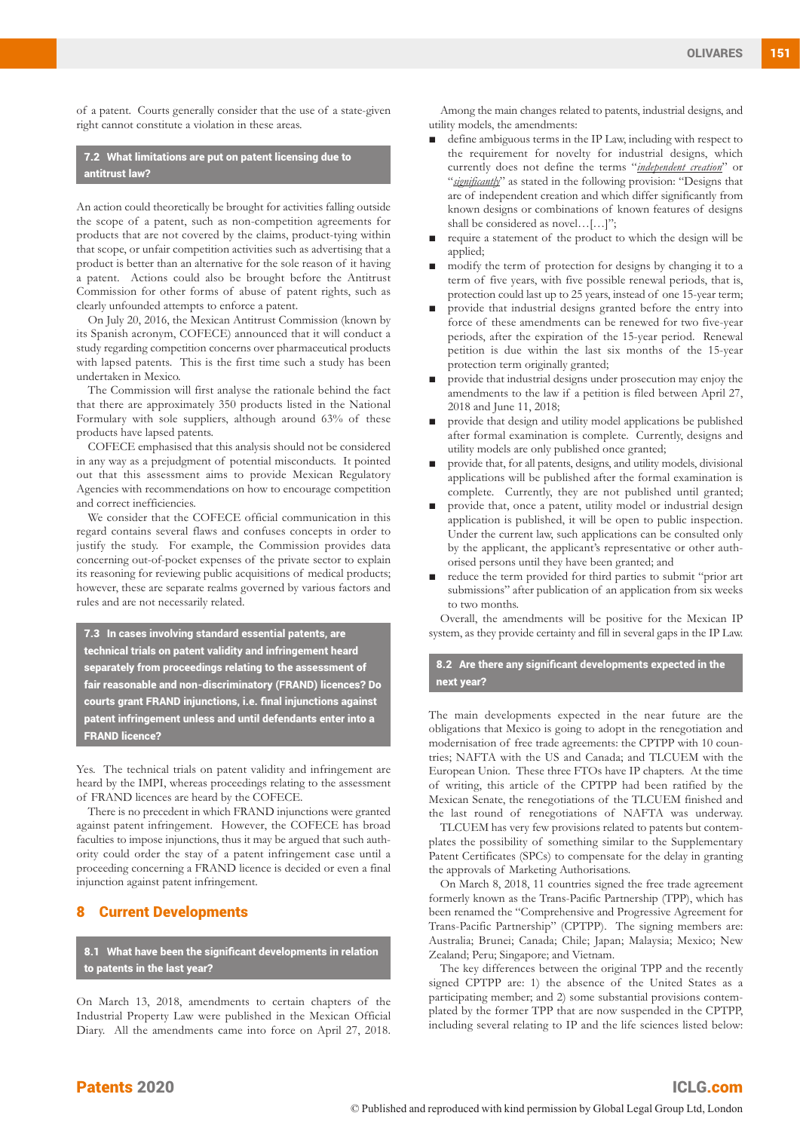of a patent. Courts generally consider that the use of a state-given right cannot constitute a violation in these areas.

7.2 What limitations are put on patent licensing due to antitrust law?

An action could theoretically be brought for activities falling outside the scope of a patent, such as non-competition agreements for products that are not covered by the claims, product-tying within that scope, or unfair competition activities such as advertising that a product is better than an alternative for the sole reason of it having a patent. Actions could also be brought before the Antitrust Commission for other forms of abuse of patent rights, such as clearly unfounded attempts to enforce a patent.

On July 20, 2016, the Mexican Antitrust Commission (known by its Spanish acronym, COFECE) announced that it will conduct a study regarding competition concerns over pharmaceutical products with lapsed patents. This is the first time such a study has been undertaken in Mexico.

The Commission will first analyse the rationale behind the fact that there are approximately 350 products listed in the National Formulary with sole suppliers, although around 63% of these products have lapsed patents.

COFECE emphasised that this analysis should not be considered in any way as a prejudgment of potential misconducts. It pointed out that this assessment aims to provide Mexican Regulatory Agencies with recommendations on how to encourage competition and correct inefficiencies.

We consider that the COFECE official communication in this regard contains several flaws and confuses concepts in order to justify the study. For example, the Commission provides data concerning out-of-pocket expenses of the private sector to explain its reasoning for reviewing public acquisitions of medical products; however, these are separate realms governed by various factors and rules and are not necessarily related.

7.3 In cases involving standard essential patents, are technical trials on patent validity and infringement heard separately from proceedings relating to the assessment of fair reasonable and non-discriminatory (FRAND) licences? Do courts grant FRAND injunctions, i.e. final injunctions against patent infringement unless and until defendants enter into a FRAND licence?

Yes. The technical trials on patent validity and infringement are heard by the IMPI, whereas proceedings relating to the assessment of FRAND licences are heard by the COFECE.

There is no precedent in which FRAND injunctions were granted against patent infringement. However, the COFECE has broad faculties to impose injunctions, thus it may be argued that such authority could order the stay of a patent infringement case until a proceeding concerning a FRAND licence is decided or even a final injunction against patent infringement.

#### 8 Current Developments

8.1 What have been the significant developments in relation to patents in the last year?

On March 13, 2018, amendments to certain chapters of the Industrial Property Law were published in the Mexican Official Diary. All the amendments came into force on April 27, 2018.

Among the main changes related to patents, industrial designs, and utility models, the amendments:

- define ambiguous terms in the IP Law, including with respect to the requirement for novelty for industrial designs, which currently does not define the terms "*independent creation*" or "significantly" as stated in the following provision: "Designs that are of independent creation and which differ significantly from known designs or combinations of known features of designs shall be considered as novel…[…]";
- require a statement of the product to which the design will be applied;
- modify the term of protection for designs by changing it to a term of five years, with five possible renewal periods, that is, protection could last up to 25 years, instead of one 15-year term;
- provide that industrial designs granted before the entry into force of these amendments can be renewed for two five-year periods, after the expiration of the 15-year period. Renewal petition is due within the last six months of the 15-year protection term originally granted;
- provide that industrial designs under prosecution may enjoy the amendments to the law if a petition is filed between April 27, 2018 and June 11, 2018;
- provide that design and utility model applications be published after formal examination is complete. Currently, designs and utility models are only published once granted;
- provide that, for all patents, designs, and utility models, divisional applications will be published after the formal examination is complete. Currently, they are not published until granted;
- provide that, once a patent, utility model or industrial design application is published, it will be open to public inspection. Under the current law, such applications can be consulted only by the applicant, the applicant's representative or other authorised persons until they have been granted; and
- reduce the term provided for third parties to submit "prior art submissions" after publication of an application from six weeks to two months.

Overall, the amendments will be positive for the Mexican IP system, as they provide certainty and fill in several gaps in the IP Law.

8.2 Are there any significant developments expected in the next year?

The main developments expected in the near future are the obligations that Mexico is going to adopt in the renegotiation and modernisation of free trade agreements: the CPTPP with 10 countries; NAFTA with the US and Canada; and TLCUEM with the European Union. These three FTOs have IP chapters. At the time of writing, this article of the CPTPP had been ratified by the Mexican Senate, the renegotiations of the TLCUEM finished and the last round of renegotiations of NAFTA was underway.

TLCUEM has very few provisions related to patents but contemplates the possibility of something similar to the Supplementary Patent Certificates (SPCs) to compensate for the delay in granting the approvals of Marketing Authorisations.

On March 8, 2018, 11 countries signed the free trade agreement formerly known as the Trans-Pacific Partnership (TPP), which has been renamed the "Comprehensive and Progressive Agreement for Trans-Pacific Partnership" (CPTPP). The signing members are: Australia; Brunei; Canada; Chile; Japan; Malaysia; Mexico; New Zealand; Peru; Singapore; and Vietnam.

The key differences between the original TPP and the recently signed CPTPP are: 1) the absence of the United States as a participating member; and 2) some substantial provisions contemplated by the former TPP that are now suspended in the CPTPP, including several relating to IP and the life sciences listed below: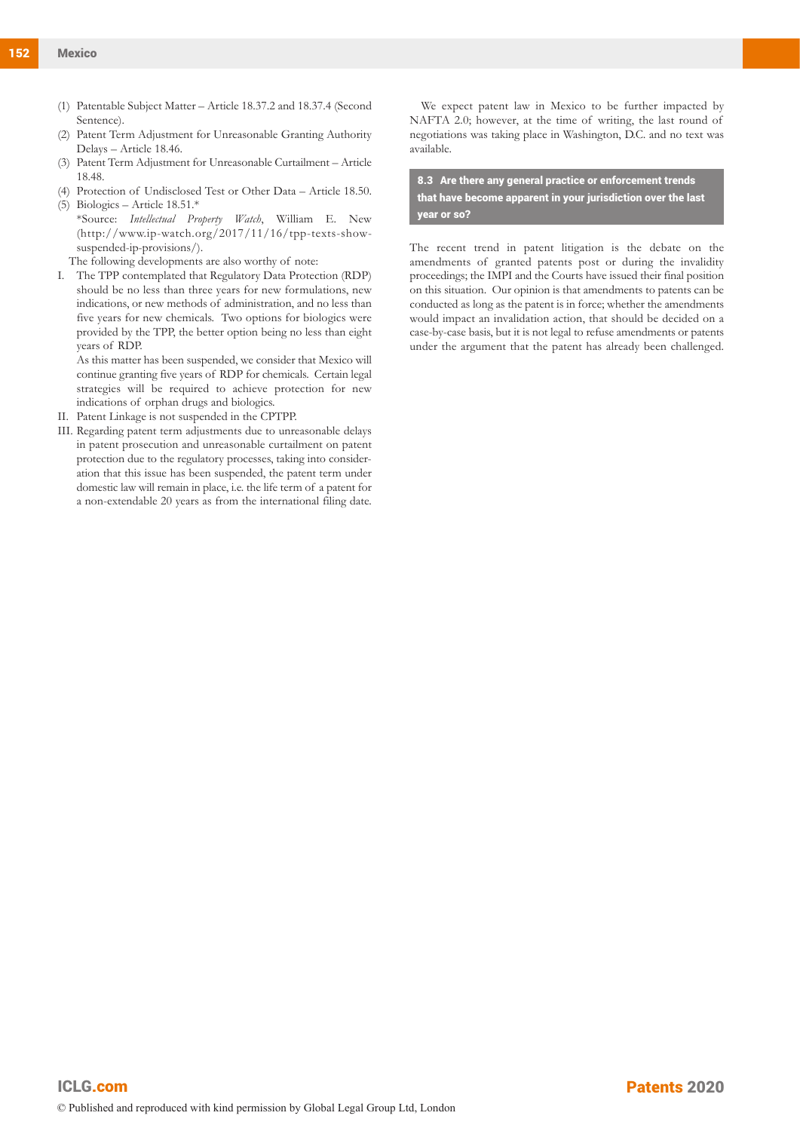- (1) Patentable Subject Matter Article 18.37.2 and 18.37.4 (Second Sentence).
- (2) Patent Term Adjustment for Unreasonable Granting Authority Delays – Article 18.46.
- (3) Patent Term Adjustment for Unreasonable Curtailment Article 18.48.
- (4) Protection of Undisclosed Test or Other Data Article 18.50.
- (5) Biologics Article 18.51.\* \*Source: *Intellectual Property Watch*, William E. New (http://www.ip-watch.org/2017/11/16/tpp-texts-showsuspended-ip-provisions/).
- The following developments are also worthy of note:
- I. The TPP contemplated that Regulatory Data Protection (RDP) should be no less than three years for new formulations, new indications, or new methods of administration, and no less than five years for new chemicals. Two options for biologics were provided by the TPP, the better option being no less than eight years of RDP.

As this matter has been suspended, we consider that Mexico will continue granting five years of RDP for chemicals. Certain legal strategies will be required to achieve protection for new indications of orphan drugs and biologics.

- II. Patent Linkage is not suspended in the CPTPP.
- III. Regarding patent term adjustments due to unreasonable delays in patent prosecution and unreasonable curtailment on patent protection due to the regulatory processes, taking into consideration that this issue has been suspended, the patent term under domestic law will remain in place, i.e. the life term of a patent for a non-extendable 20 years as from the international filing date.

We expect patent law in Mexico to be further impacted by NAFTA 2.0; however, at the time of writing, the last round of negotiations was taking place in Washington, D.C. and no text was available.

8.3 Are there any general practice or enforcement trends that have become apparent in your jurisdiction over the last year or so?

The recent trend in patent litigation is the debate on the amendments of granted patents post or during the invalidity proceedings; the IMPI and the Courts have issued their final position on this situation. Our opinion is that amendments to patents can be conducted as long as the patent is in force; whether the amendments would impact an invalidation action, that should be decided on a case-by-case basis, but it is not legal to refuse amendments or patents under the argument that the patent has already been challenged.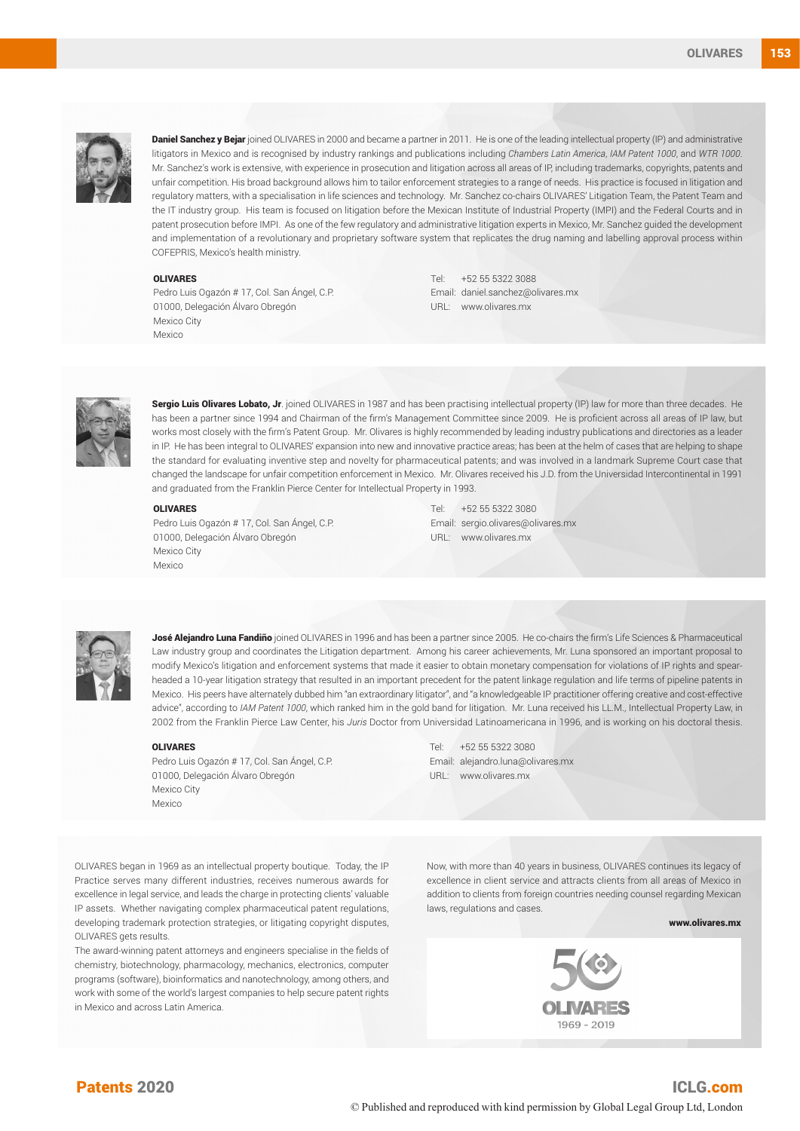

Daniel Sanchez y Bejar joined OLIVARES in 2000 and became a partner in 2011. He is one of the leading intellectual property (IP) and administrative litigators in Mexico and is recognised by industry rankings and publications including *Chambers Latin America*, *IAM Patent 1000*, and *WTR 1000*. Mr. Sanchez's work is extensive, with experience in prosecution and litigation across all areas of IP, including trademarks, copyrights, patents and unfair competition. His broad background allows him to tailor enforcement strategies to a range of needs. His practice is focused in litigation and regulatory matters, with a specialisation in life sciences and technology. Mr. Sanchez co-chairs OLIVARES' Litigation Team, the Patent Team and the IT industry group. His team is focused on litigation before the Mexican Institute of Industrial Property (IMPI) and the Federal Courts and in patent prosecution before IMPI. As one of the few regulatory and administrative litigation experts in Mexico, Mr. Sanchez guided the development and implementation of a revolutionary and proprietary software system that replicates the drug naming and labelling approval process within COFEPRIS, Mexico's health ministry.

#### OLIVARES

Pedro Luis Ogazón # 17, Col. San Ángel, C.P. 01000, Delegación Álvaro Obregón Mexico City Mexico

Tel: +52 55 5322 3088 Email: daniel.sanchez@olivares.mx URL: www.olivares.mx



Sergio Luis Olivares Lobato, Jr. joined OLIVARES in 1987 and has been practising intellectual property (IP) law for more than three decades. He has been a partner since 1994 and Chairman of the firm's Management Committee since 2009. He is proficient across all areas of IP law, but works most closely with the firm's Patent Group. Mr. Olivares is highly recommended by leading industry publications and directories as a leader in IP. He has been integral to OLIVARES' expansion into new and innovative practice areas; has been at the helm of cases that are helping to shape the standard for evaluating inventive step and novelty for pharmaceutical patents; and was involved in a landmark Supreme Court case that changed the landscape for unfair competition enforcement in Mexico. Mr. Olivares received his J.D. from the Universidad Intercontinental in 1991 and graduated from the Franklin Pierce Center for Intellectual Property in 1993.

#### OLIVARES

Pedro Luis Ogazón # 17, Col. San Ángel, C.P. 01000, Delegación Álvaro Obregón Mexico City Mexico

Tel: +52 55 5322 3080 Email: sergio.olivares@olivares.mx URL: www.olivares.mx



José Alejandro Luna Fandiño joined OLIVARES in 1996 and has been a partner since 2005. He co-chairs the firm's Life Sciences & Pharmaceutical Law industry group and coordinates the Litigation department. Among his career achievements, Mr. Luna sponsored an important proposal to modify Mexico's litigation and enforcement systems that made it easier to obtain monetary compensation for violations of IP rights and spearheaded a 10-year litigation strategy that resulted in an important precedent for the patent linkage regulation and life terms of pipeline patents in Mexico. His peers have alternately dubbed him "an extraordinary litigator", and "a knowledgeable IP practitioner offering creative and cost-effective advice", according to *IAM Patent 1000*, which ranked him in the gold band for litigation. Mr. Luna received his LL.M., Intellectual Property Law, in 2002 from the Franklin Pierce Law Center, his *Juris* Doctor from Universidad Latinoamericana in 1996, and is working on his doctoral thesis.

#### OLIVARES

Pedro Luis Ogazón # 17, Col. San Ángel, C.P. 01000, Delegación Álvaro Obregón Mexico City Mexico

Tel: +52 55 5322 3080 Email: alejandro.luna@olivares.mx URL: www.olivares.mx

OLIVARES began in 1969 as an intellectual property boutique. Today, the IP Practice serves many different industries, receives numerous awards for excellence in legal service, and leads the charge in protecting clients' valuable IP assets. Whether navigating complex pharmaceutical patent regulations, developing trademark protection strategies, or litigating copyright disputes, OLIVARES gets results.

The award-winning patent attorneys and engineers specialise in the fields of chemistry, biotechnology, pharmacology, mechanics, electronics, computer programs (software), bioinformatics and nanotechnology, among others, and work with some of the world's largest companies to help secure patent rights in Mexico and across Latin America.

Now, with more than 40 years in business, OLIVARES continues its legacy of excellence in client service and attracts clients from all areas of Mexico in addition to clients from foreign countries needing counsel regarding Mexican laws, regulations and cases.

www.olivares.mx